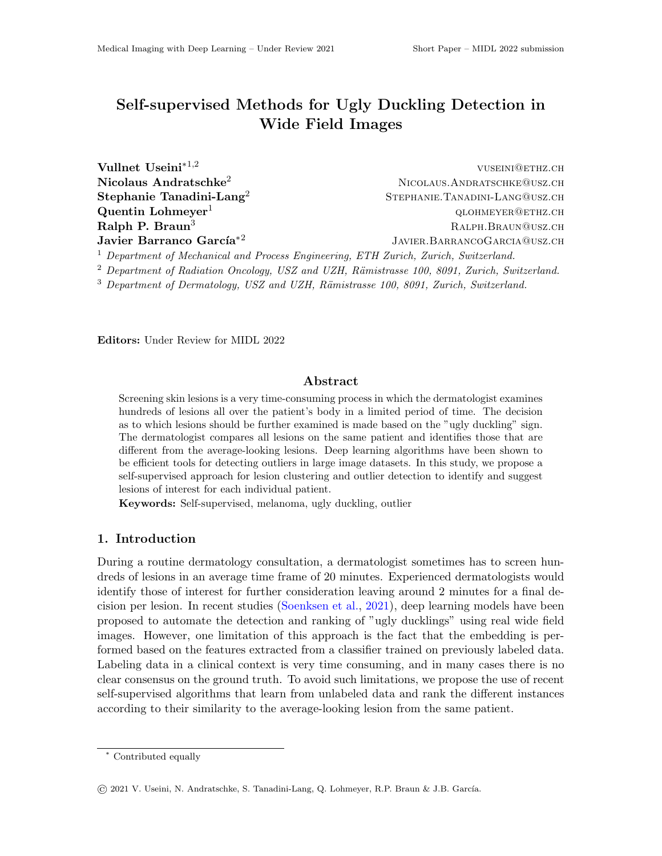# Self-supervised Methods for Ugly Duckling Detection in Wide Field Images

| Vullnet Useini* <sup>1,2</sup>                                                                  | VUSEINI@ETHZ.CH                 |
|-------------------------------------------------------------------------------------------------|---------------------------------|
|                                                                                                 |                                 |
| Nicolaus Andratschke <sup>2</sup>                                                               | NICOLAUS.ANDRATSCHKE@USZ.CH     |
| Stephanie Tanadini-Lang <sup>2</sup>                                                            | STEPHANIE. TANADINI-LANG@USZ.CH |
| Quentin Lohmeyer <sup>1</sup>                                                                   | QLOHMEYER@ETHZ.CH               |
| Ralph P. Braun $3$                                                                              | RALPH.BRAUN@USZ.CH              |
| Javier Barranco García <sup>*2</sup>                                                            | JAVIER.BARRANCOGARCIA@USZ.CH    |
| <sup>1</sup> Department of Mechanical and Process Engineering, ETH Zurich, Zurich, Switzerland. |                                 |
| $^2$ Department of Radiation Oncology, USZ and UZH, Rämistrasse 100, 8091, Zurich, Switzerland. |                                 |

 $3$  Department of Dermatology, USZ and UZH, Rämistrasse 100, 8091, Zurich, Switzerland.

Editors: Under Review for MIDL 2022

## Abstract

Screening skin lesions is a very time-consuming process in which the dermatologist examines hundreds of lesions all over the patient's body in a limited period of time. The decision as to which lesions should be further examined is made based on the "ugly duckling" sign. The dermatologist compares all lesions on the same patient and identifies those that are different from the average-looking lesions. Deep learning algorithms have been shown to be efficient tools for detecting outliers in large image datasets. In this study, we propose a self-supervised approach for lesion clustering and outlier detection to identify and suggest lesions of interest for each individual patient.

Keywords: Self-supervised, melanoma, ugly duckling, outlier

## 1. Introduction

During a routine dermatology consultation, a dermatologist sometimes has to screen hundreds of lesions in an average time frame of 20 minutes. Experienced dermatologists would identify those of interest for further consideration leaving around 2 minutes for a final decision per lesion. In recent studies [\(Soenksen et al.,](#page-2-0) [2021\)](#page-2-0), deep learning models have been proposed to automate the detection and ranking of "ugly ducklings" using real wide field images. However, one limitation of this approach is the fact that the embedding is performed based on the features extracted from a classifier trained on previously labeled data. Labeling data in a clinical context is very time consuming, and in many cases there is no clear consensus on the ground truth. To avoid such limitations, we propose the use of recent self-supervised algorithms that learn from unlabeled data and rank the different instances according to their similarity to the average-looking lesion from the same patient.

<sup>∗</sup> Contributed equally

<sup>©</sup> 2021 V. Useini, N. Andratschke, S. Tanadini-Lang, Q. Lohmeyer, R.P. Braun & J.B. Garc´ıa.